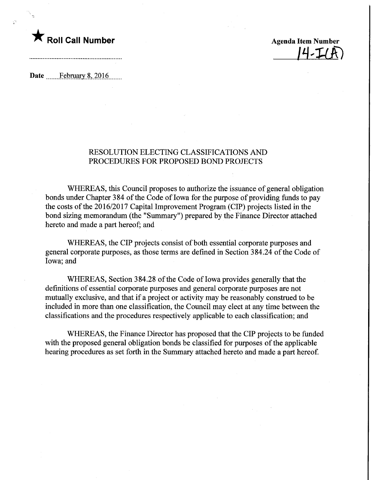

 $\mathcal{C}^{\prime}$ 

**Agenda Item Number** 

Date .......February. 8^2016

## RESOLUTION ELECTING CLASSIFICATIONS AND PROCEDURES FOR PROPOSED BOND PROJECTS

WHEREAS, this Council proposes to authorize the issuance of general obligation bonds under Chapter 384 of the Code of Iowa for the purpose of providing funds to pay the costs of the 2016/2017 Capital Improvement Program (CIP) projects listed in the bond sizing memorandum (the "Summary") prepared by the Finance Director attached hereto and made a part hereof; and

WHEREAS, the CIP projects consist of both essential corporate purposes and general corporate purposes, as those terms are defined in Section 384.24 of the Code of Iowa; and

WHEREAS, Section 384.28 of the Code of Iowa provides generally that the definitions of essential corporate purposes and general corporate purposes are not mutually exclusive, and that if a project or activity may be reasonably constmed to be included in more than one classification, the Council may elect at any time between the classifications and the procedures respectively applicable to each classification; and

WHEREAS, the Finance Director has proposed that the CIP projects to be funded with the proposed general obligation bonds be classified for purposes of the applicable hearing procedures as set forth in the Summary attached hereto and made a part hereof.